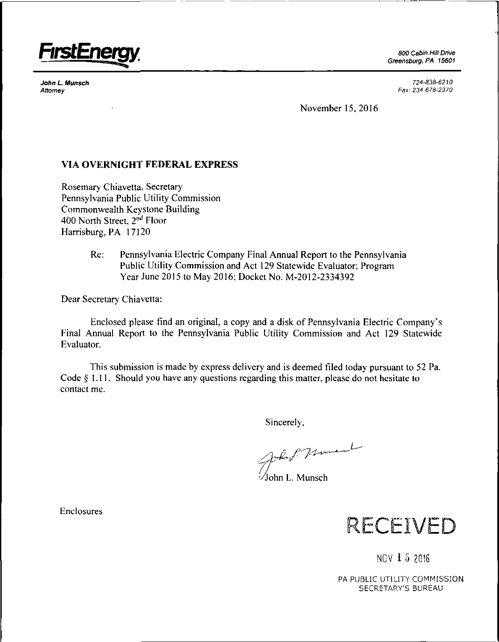

*John L Munsch Attorney*

*Greensburg, PA 15601*

*724-838-6210 Fax: 234-678-2370*

November 15, 2016

## VIA OVERNIGHT FEDERAL EXPRESS

Rosemary Chiavetta, Secretary Pennsylvania Public Utility Commission Commonwealth Keystone Building 400 North Street, *2nd* Floor Harrisburg, PA 17120

> Re: Pennsylvania Electric Company Final Annual Report to the Pennsylvania Public Utility Commission and Act 129 Statewide Evaluator; Program Year June 2015 to May 2016; Docket No. M-2012-2334392

Dear Secretary Chiavetta:

Enclosed please find an original, a copy and a disk of Pennsylvania Electric Company's Final Annual Report to the Pennsylvania Public Utility Commission and Act 129 Statewide Evaluator.

This submission is made by express delivery and is deemed filed today pursuant to 52 Pa. Code § 1.11. Should you have any questions regarding this matter, please do not hesitate to contact me.

Sincerely,

John P. Muner

ohn L. Munsch



**NOV 1 5 2016**

PA PUBLIC UTILITY COMMISSION SECRETARY'S BUREAU

Enclosures